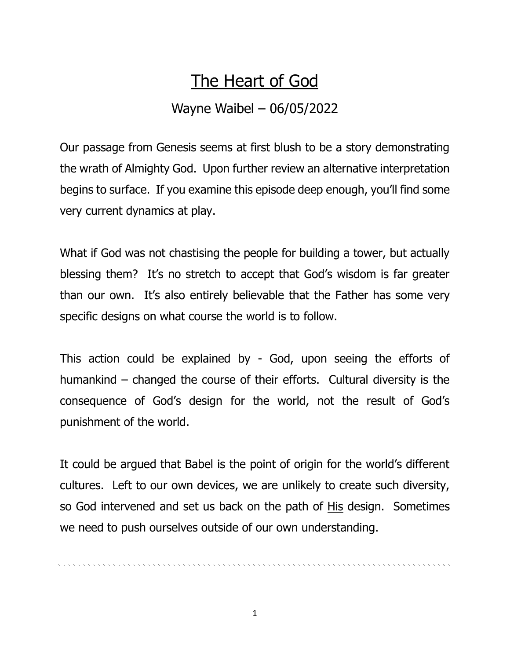## The Heart of God

## Wayne Waibel – 06/05/2022

Our passage from Genesis seems at first blush to be a story demonstrating the wrath of Almighty God. Upon further review an alternative interpretation begins to surface. If you examine this episode deep enough, you'll find some very current dynamics at play.

What if God was not chastising the people for building a tower, but actually blessing them? It's no stretch to accept that God's wisdom is far greater than our own. It's also entirely believable that the Father has some very specific designs on what course the world is to follow.

This action could be explained by - God, upon seeing the efforts of humankind – changed the course of their efforts. Cultural diversity is the consequence of God's design for the world, not the result of God's punishment of the world.

It could be argued that Babel is the point of origin for the world's different cultures. Left to our own devices, we are unlikely to create such diversity, so God intervened and set us back on the path of His design. Sometimes we need to push ourselves outside of our own understanding.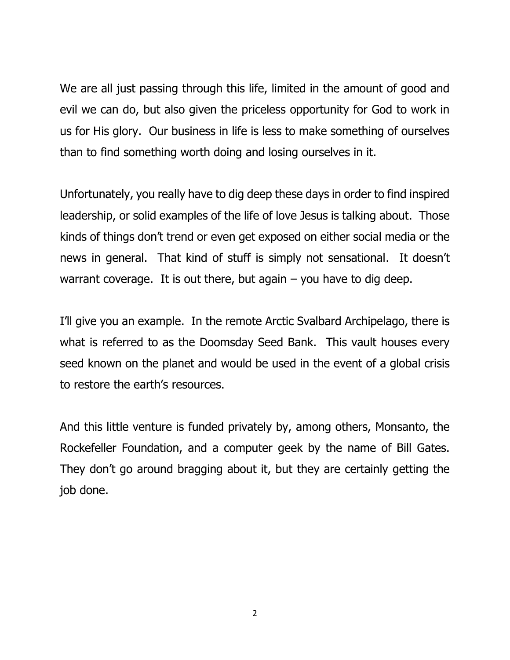We are all just passing through this life, limited in the amount of good and evil we can do, but also given the priceless opportunity for God to work in us for His glory. Our business in life is less to make something of ourselves than to find something worth doing and losing ourselves in it.

Unfortunately, you really have to dig deep these days in order to find inspired leadership, or solid examples of the life of love Jesus is talking about. Those kinds of things don't trend or even get exposed on either social media or the news in general. That kind of stuff is simply not sensational. It doesn't warrant coverage. It is out there, but again  $-$  you have to dig deep.

I'll give you an example. In the remote Arctic Svalbard Archipelago, there is what is referred to as the Doomsday Seed Bank. This vault houses every seed known on the planet and would be used in the event of a global crisis to restore the earth's resources.

And this little venture is funded privately by, among others, Monsanto, the Rockefeller Foundation, and a computer geek by the name of Bill Gates. They don't go around bragging about it, but they are certainly getting the job done.

2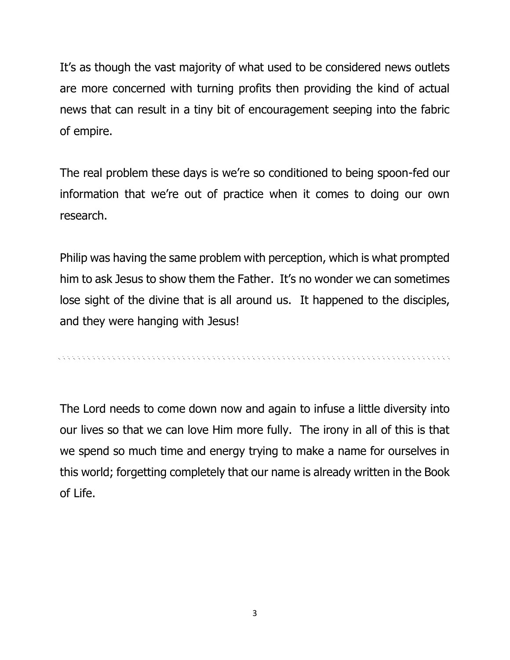It's as though the vast majority of what used to be considered news outlets are more concerned with turning profits then providing the kind of actual news that can result in a tiny bit of encouragement seeping into the fabric of empire.

The real problem these days is we're so conditioned to being spoon-fed our information that we're out of practice when it comes to doing our own research.

Philip was having the same problem with perception, which is what prompted him to ask Jesus to show them the Father. It's no wonder we can sometimes lose sight of the divine that is all around us. It happened to the disciples, and they were hanging with Jesus!

, a concert a concert and a concert and a concert and a concert and a concert and a concert and a concert and

The Lord needs to come down now and again to infuse a little diversity into our lives so that we can love Him more fully. The irony in all of this is that we spend so much time and energy trying to make a name for ourselves in this world; forgetting completely that our name is already written in the Book of Life.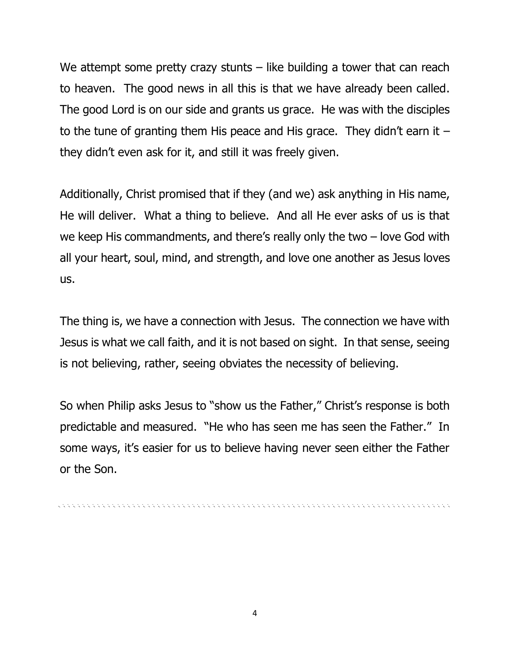We attempt some pretty crazy stunts  $-$  like building a tower that can reach to heaven. The good news in all this is that we have already been called. The good Lord is on our side and grants us grace. He was with the disciples to the tune of granting them His peace and His grace. They didn't earn it  $$ they didn't even ask for it, and still it was freely given.

Additionally, Christ promised that if they (and we) ask anything in His name, He will deliver. What a thing to believe. And all He ever asks of us is that we keep His commandments, and there's really only the two – love God with all your heart, soul, mind, and strength, and love one another as Jesus loves us.

The thing is, we have a connection with Jesus. The connection we have with Jesus is what we call faith, and it is not based on sight. In that sense, seeing is not believing, rather, seeing obviates the necessity of believing.

So when Philip asks Jesus to "show us the Father," Christ's response is both predictable and measured. "He who has seen me has seen the Father." In some ways, it's easier for us to believe having never seen either the Father or the Son.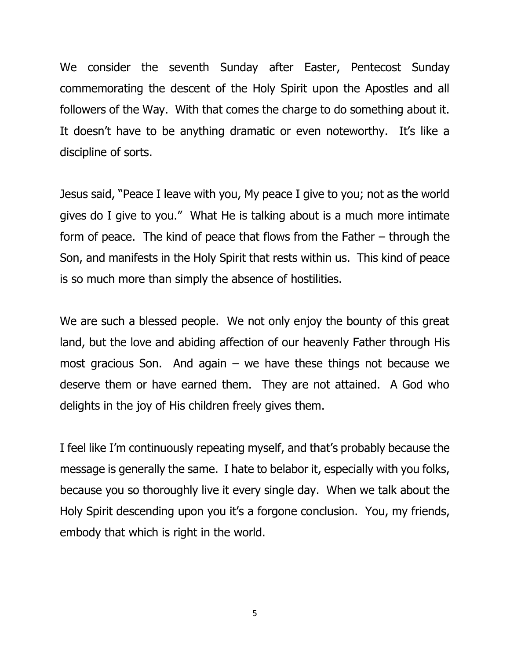We consider the seventh Sunday after Easter, Pentecost Sunday commemorating the descent of the Holy Spirit upon the Apostles and all followers of the Way. With that comes the charge to do something about it. It doesn't have to be anything dramatic or even noteworthy. It's like a discipline of sorts.

Jesus said, "Peace I leave with you, My peace I give to you; not as the world gives do I give to you." What He is talking about is a much more intimate form of peace. The kind of peace that flows from the Father – through the Son, and manifests in the Holy Spirit that rests within us. This kind of peace is so much more than simply the absence of hostilities.

We are such a blessed people. We not only enjoy the bounty of this great land, but the love and abiding affection of our heavenly Father through His most gracious Son. And again – we have these things not because we deserve them or have earned them. They are not attained. A God who delights in the joy of His children freely gives them.

I feel like I'm continuously repeating myself, and that's probably because the message is generally the same. I hate to belabor it, especially with you folks, because you so thoroughly live it every single day. When we talk about the Holy Spirit descending upon you it's a forgone conclusion. You, my friends, embody that which is right in the world.

5